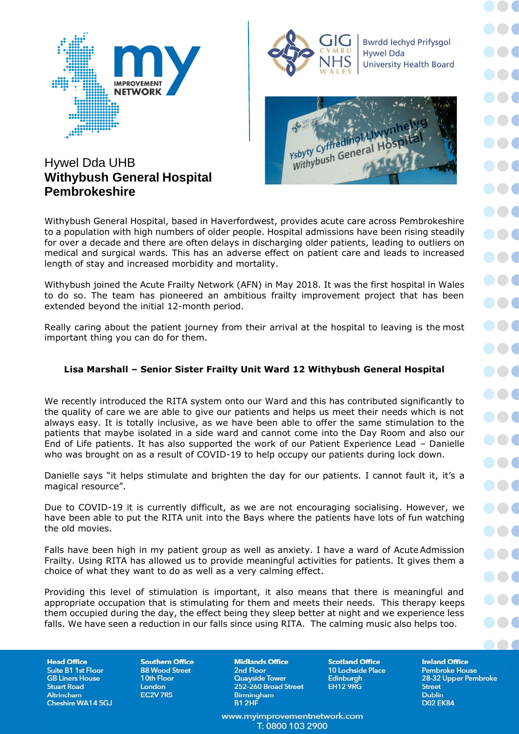



**Bwrdd lechyd Prifysgol Hywel Dda University Health Board** 



## Hywel Dda UHB **Withybush General Hospital Pembrokeshire**

Withybush General Hospital, based in Haverfordwest, provides acute care across Pembrokeshire to a population with high numbers of older people. Hospital admissions have been rising steadily for over a decade and there are often delays in discharging older patients, leading to outliers on medical and surgical wards. This has an adverse effect on patient care and leads to increased length of stay and increased morbidity and mortality.

Withybush joined the Acute Frailty Network (AFN) in May 2018. It was the first hospital in Wales to do so. The team has pioneered an ambitious frailty improvement project that has been extended beyond the initial 12-month period.

Really caring about the patient journey from their arrival at the hospital to leaving is the most important thing you can do for them.

## **Lisa Marshall – Senior Sister Frailty Unit Ward 12 Withybush General Hospital**

We recently introduced the RITA system onto our Ward and this has contributed significantly to the quality of care we are able to give our patients and helps us meet their needs which is not always easy. It is totally inclusive, as we have been able to offer the same stimulation to the patients that maybe isolated in a side ward and cannot come into the Day Room and also our End of Life patients. It has also supported the work of our Patient Experience Lead – Danielle who was brought on as a result of COVID-19 to help occupy our patients during lock down.

Danielle says "it helps stimulate and brighten the day for our patients. I cannot fault it, it's a magical resource".

Due to COVID-19 it is currently difficult, as we are not encouraging socialising. However, we have been able to put the RITA unit into the Bays where the patients have lots of fun watching the old movies.

Falls have been high in my patient group as well as anxiety. I have a ward of Acute Admission Frailty. Using RITA has allowed us to provide meaningful activities for patients. It gives them a choice of what they want to do as well as a very calming effect.

Providing this level of stimulation is important, it also means that there is meaningful and appropriate occupation that is stimulating for them and meets their needs. This therapy keeps them occupied during the day, the effect being they sleep better at night and we experience less falls. We have seen a reduction in our falls since using RITA. The calming music also helps too.

**Head Office** Suite B1 1st Floor **GB Liners House Stuart Road** Altrincham Cheshire WA14 5GJ

**Southern Office 88 Wood Street** 10th Floor London **EC2V 7RS** 

**Midlands Office** 2nd Floor **Quayside Tower** 252-260 Broad Street Birmingham **B1 2HF** 

www.myimprovementnetwork.com T: 0800 103 2900

**Scotland Office** 10 Lochside Place Edinburgh **EH12 9RG** 

**Ireland Office Pembroke House** 28-32 Upper Pembroke **Street Dublin D02 EK84** 

**AA6**